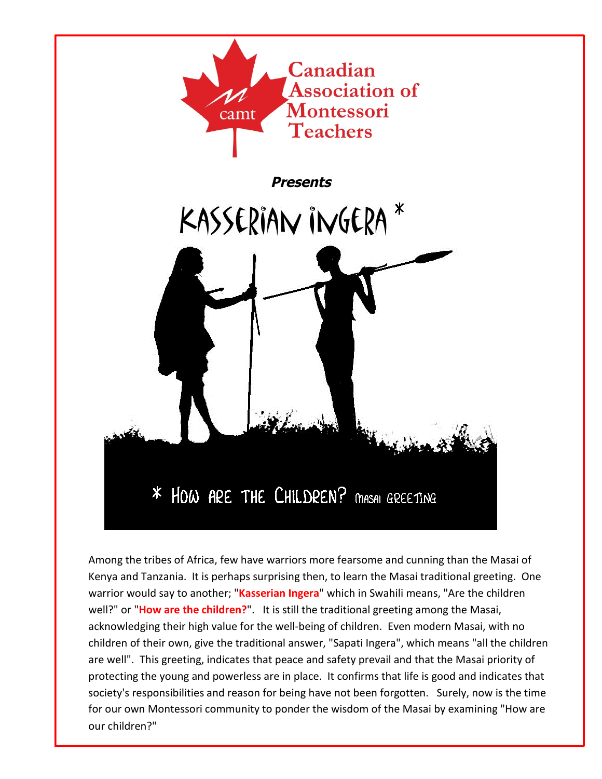

Among the tribes of Africa, few have warriors more fearsome and cunning than the Masai of Kenya and Tanzania. It is perhaps surprising then, to learn the Masai traditional greeting. One warrior would say to another; "**Kasserian Ingera**" which in Swahili means, "Are the children well?" or "**How are the children?**". It is still the traditional greeting among the Masai, acknowledging their high value for the well-being of children. Even modern Masai, with no children of their own, give the traditional answer, "Sapati Ingera", which means "all the children are well". This greeting, indicates that peace and safety prevail and that the Masai priority of protecting the young and powerless are in place. It confirms that life is good and indicates that society's responsibilities and reason for being have not been forgotten. Surely, now is the time for our own Montessori community to ponder the wisdom of the Masai by examining "How are our children?"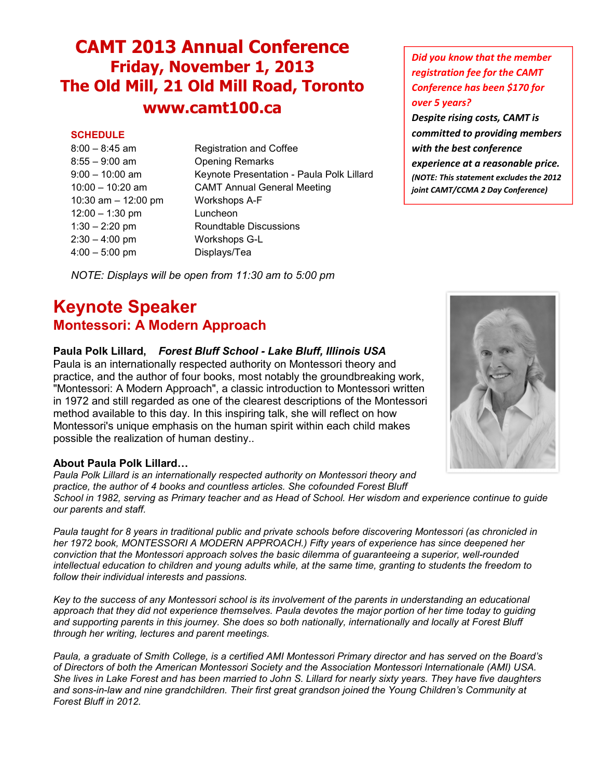# **CAMT 2013 Annual Conference Friday, November 1, 2013 The Old Mill, 21 Old Mill Road, Toronto www.camt100.ca**

## **SCHEDULE**

| $8:00 - 8:45$ am    |  |
|---------------------|--|
| $8:55 - 9:00$ am    |  |
| $9:00 - 10:00$ am   |  |
| 10:00 - 10:20 am    |  |
| 10:30 am - 12:00 pm |  |
| $12:00 - 1:30$ pm   |  |
| $1:30 - 2:20$ pm    |  |
| $2:30 - 4:00$ pm    |  |
| $4:00 - 5:00$ pm    |  |

Registration and Coffee Opening Remarks Keynote Presentation - Paula Polk Lillard CAMT Annual General Meeting Workshops A-F Luncheon Roundtable Discussions Workshops G-L Displays/Tea

*NOTE: Displays will be open from 11:30 am to 5:00 pm*

## **Keynote Speaker Montessori: A Modern Approach**

## **Paula Polk Lillard,** *Forest Bluff School - Lake Bluff, Illinois USA*

Paula is an internationally respected authority on Montessori theory and practice, and the author of four books, most notably the groundbreaking work, "Montessori: A Modern Approach", a classic introduction to Montessori written in 1972 and still regarded as one of the clearest descriptions of the Montessori method available to this day. In this inspiring talk, she will reflect on how Montessori's unique emphasis on the human spirit within each child makes possible the realization of human destiny..

## **About Paula Polk Lillard…**

*Paula Polk Lillard is an internationally respected authority on Montessori theory and practice, the author of 4 books and countless articles. She cofounded Forest Bluff School in 1982, serving as Primary teacher and as Head of School. Her wisdom and experience continue to guide our parents and staff.*

*Paula taught for 8 years in traditional public and private schools before discovering Montessori (as chronicled in her 1972 book, MONTESSORI A MODERN APPROACH.) Fifty years of experience has since deepened her conviction that the Montessori approach solves the basic dilemma of guaranteeing a superior, well-rounded intellectual education to children and young adults while, at the same time, granting to students the freedom to follow their individual interests and passions.*

*Key to the success of any Montessori school is its involvement of the parents in understanding an educational approach that they did not experience themselves. Paula devotes the major portion of her time today to guiding and supporting parents in this journey. She does so both nationally, internationally and locally at Forest Bluff through her writing, lectures and parent meetings.*

*Paula, a graduate of Smith College, is a certified AMI Montessori Primary director and has served on the Board's of Directors of both the American Montessori Society and the Association Montessori Internationale (AMI) USA. She lives in Lake Forest and has been married to John S. Lillard for nearly sixty years. They have five daughters and sons-in-law and nine grandchildren. Their first great grandson joined the Young Children's Community at Forest Bluff in 2012.*

## *Did you know that the member registration fee for the CAMT Conference has been \$170 for over 5 years?*

*Despite rising costs, CAMT is committed to providing members with the best conference experience at a reasonable price. (NOTE: This statement excludes the 2012 joint CAMT/CCMA 2 Day Conference)*

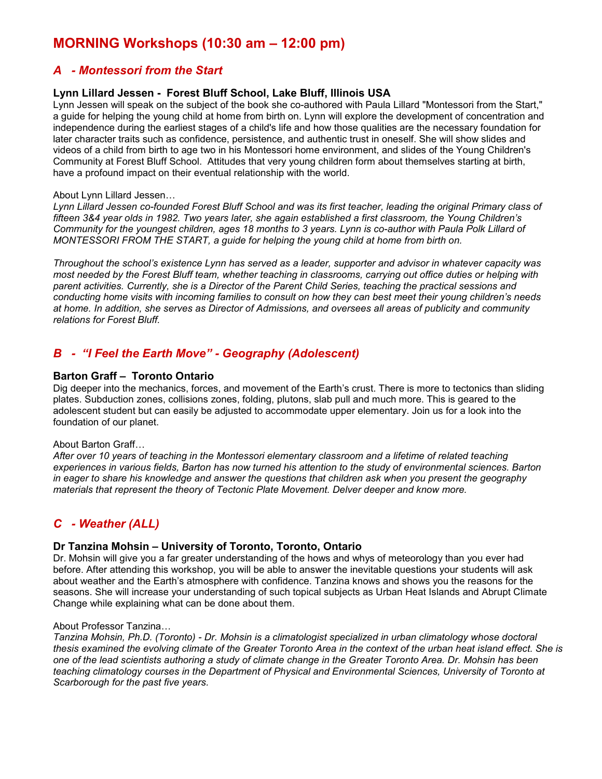## **MORNING Workshops (10:30 am – 12:00 pm)**

## *A - Montessori from the Start*

#### **Lynn Lillard Jessen - Forest Bluff School, Lake Bluff, Illinois USA**

Lynn Jessen will speak on the subject of the book she co-authored with Paula Lillard "Montessori from the Start," a guide for helping the young child at home from birth on. Lynn will explore the development of concentration and independence during the earliest stages of a child's life and how those qualities are the necessary foundation for later character traits such as confidence, persistence, and authentic trust in oneself. She will show slides and videos of a child from birth to age two in his Montessori home environment, and slides of the Young Children's Community at Forest Bluff School. Attitudes that very young children form about themselves starting at birth, have a profound impact on their eventual relationship with the world.

#### About Lynn Lillard Jessen…

*Lynn Lillard Jessen co-founded Forest Bluff School and was its first teacher, leading the original Primary class of fifteen 3&4 year olds in 1982. Two years later, she again established a first classroom, the Young Children's Community for the youngest children, ages 18 months to 3 years. Lynn is co-author with Paula Polk Lillard of MONTESSORI FROM THE START, a guide for helping the young child at home from birth on.*

*Throughout the school's existence Lynn has served as a leader, supporter and advisor in whatever capacity was most needed by the Forest Bluff team, whether teaching in classrooms, carrying out office duties or helping with parent activities. Currently, she is a Director of the Parent Child Series, teaching the practical sessions and conducting home visits with incoming families to consult on how they can best meet their young children's needs at home. In addition, she serves as Director of Admissions, and oversees all areas of publicity and community relations for Forest Bluff.*

## *B - "I Feel the Earth Move" - Geography (Adolescent)*

#### **Barton Graff – Toronto Ontario**

Dig deeper into the mechanics, forces, and movement of the Earth's crust. There is more to tectonics than sliding plates. Subduction zones, collisions zones, folding, plutons, slab pull and much more. This is geared to the adolescent student but can easily be adjusted to accommodate upper elementary. Join us for a look into the foundation of our planet.

#### About Barton Graff…

*After over 10 years of teaching in the Montessori elementary classroom and a lifetime of related teaching experiences in various fields, Barton has now turned his attention to the study of environmental sciences. Barton in eager to share his knowledge and answer the questions that children ask when you present the geography materials that represent the theory of Tectonic Plate Movement. Delver deeper and know more.*

## *C - Weather (ALL)*

#### **Dr Tanzina Mohsin – University of Toronto, Toronto, Ontario**

Dr. Mohsin will give you a far greater understanding of the hows and whys of meteorology than you ever had before. After attending this workshop, you will be able to answer the inevitable questions your students will ask about weather and the Earth's atmosphere with confidence. Tanzina knows and shows you the reasons for the seasons. She will increase your understanding of such topical subjects as Urban Heat Islands and Abrupt Climate Change while explaining what can be done about them.

#### About Professor Tanzina…

*Tanzina Mohsin, Ph.D. (Toronto) - Dr. Mohsin is a climatologist specialized in urban climatology whose doctoral thesis examined the evolving climate of the Greater Toronto Area in the context of the urban heat island effect. She is one of the lead scientists authoring a study of climate change in the Greater Toronto Area. Dr. Mohsin has been teaching climatology courses in the Department of Physical and Environmental Sciences, University of Toronto at Scarborough for the past five years.*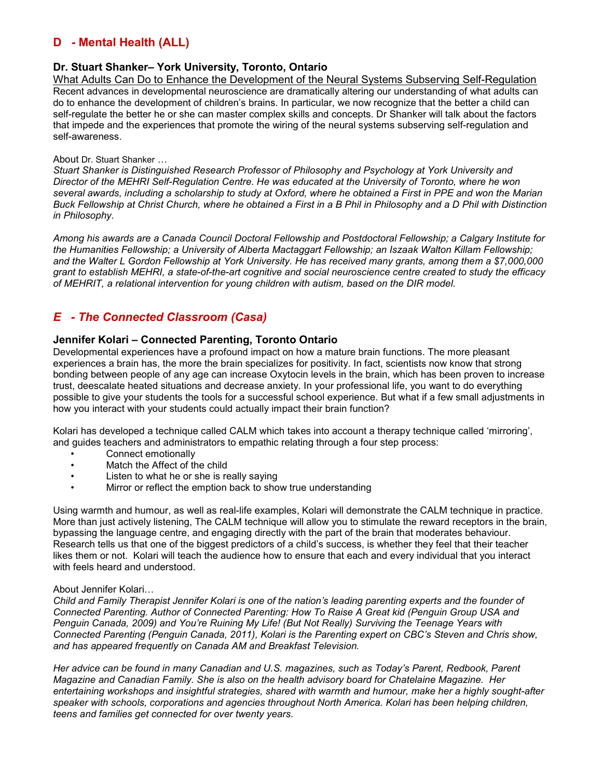## **D - Mental Health (ALL)**

### **Dr. Stuart Shanker– York University, Toronto, Ontario**

What Adults Can Do to Enhance the Development of the Neural Systems Subserving Self-Regulation Recent advances in developmental neuroscience are dramatically altering our understanding of what adults can do to enhance the development of children's brains. In particular, we now recognize that the better a child can self-regulate the better he or she can master complex skills and concepts. Dr Shanker will talk about the factors that impede and the experiences that promote the wiring of the neural systems subserving self-regulation and self-awareness.

#### About Dr. Stuart Shanker …

*Stuart Shanker is Distinguished Research Professor of Philosophy and Psychology at York University and Director of the MEHRI Self-Regulation Centre. He was educated at the University of Toronto, where he won several awards, including a scholarship to study at Oxford, where he obtained a First in PPE and won the Marian Buck Fellowship at Christ Church, where he obtained a First in a B Phil in Philosophy and a D Phil with Distinction in Philosophy.*

*Among his awards are a Canada Council Doctoral Fellowship and Postdoctoral Fellowship; a Calgary Institute for the Humanities Fellowship; a University of Alberta Mactaggart Fellowship; an Iszaak Walton Killam Fellowship; and the Walter L Gordon Fellowship at York University. He has received many grants, among them a \$7,000,000 grant to establish MEHRI, a state-of-the-art cognitive and social neuroscience centre created to study the efficacy of MEHRIT, a relational intervention for young children with autism, based on the DIR model.*

## *E - The Connected Classroom (Casa)*

#### **Jennifer Kolari – Connected Parenting, Toronto Ontario**

Developmental experiences have a profound impact on how a mature brain functions. The more pleasant experiences a brain has, the more the brain specializes for positivity. In fact, scientists now know that strong bonding between people of any age can increase Oxytocin levels in the brain, which has been proven to increase trust, deescalate heated situations and decrease anxiety. In your professional life, you want to do everything possible to give your students the tools for a successful school experience. But what if a few small adjustments in how you interact with your students could actually impact their brain function?

Kolari has developed a technique called CALM which takes into account a therapy technique called 'mirroring', and guides teachers and administrators to empathic relating through a four step process:

- Connect emotionally
- Match the Affect of the child
- Listen to what he or she is really saying
- Mirror or reflect the emption back to show true understanding

Using warmth and humour, as well as real-life examples, Kolari will demonstrate the CALM technique in practice. More than just actively listening. The CALM technique will allow you to stimulate the reward receptors in the brain, bypassing the language centre, and engaging directly with the part of the brain that moderates behaviour. Research tells us that one of the biggest predictors of a child's success, is whether they feel that their teacher likes them or not. Kolari will teach the audience how to ensure that each and every individual that you interact with feels heard and understood.

#### About Jennifer Kolari…

*Child and Family Therapist Jennifer Kolari is one of the nation's leading parenting experts and the founder of Connected Parenting. Author of Connected Parenting: How To Raise A Great kid (Penguin Group USA and Penguin Canada, 2009) and You're Ruining My Life! (But Not Really) Surviving the Teenage Years with Connected Parenting (Penguin Canada, 2011), Kolari is the Parenting expert on CBC's Steven and Chris show, and has appeared frequently on Canada AM and Breakfast Television.*

*Her advice can be found in many Canadian and U.S. magazines, such as Today's Parent, Redbook, Parent Magazine and Canadian Family. She is also on the health advisory board for Chatelaine Magazine. Her entertaining workshops and insightful strategies, shared with warmth and humour, make her a highly sought-after speaker with schools, corporations and agencies throughout North America. Kolari has been helping children, teens and families get connected for over twenty years.*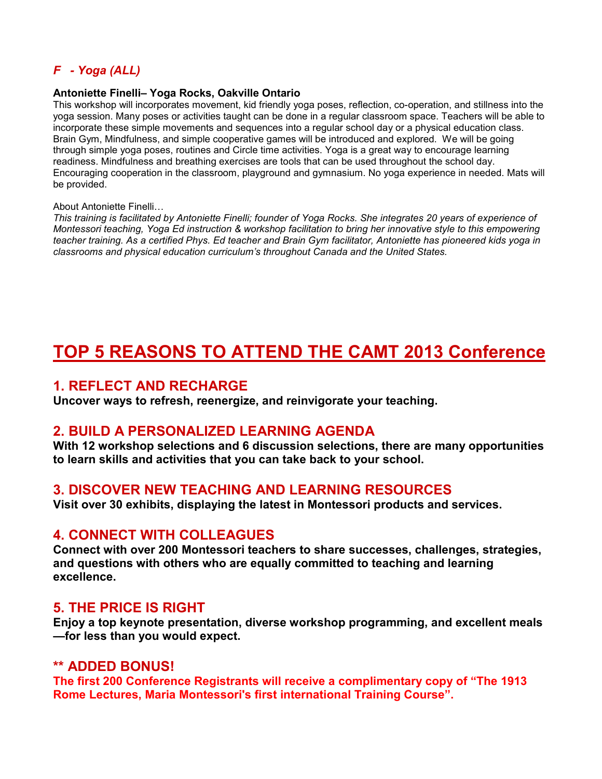## *F - Yoga (ALL)*

#### **Antoniette Finelli– Yoga Rocks, Oakville Ontario**

This workshop will incorporates movement, kid friendly yoga poses, reflection, co-operation, and stillness into the yoga session. Many poses or activities taught can be done in a regular classroom space. Teachers will be able to incorporate these simple movements and sequences into a regular school day or a physical education class. Brain Gym, Mindfulness, and simple cooperative games will be introduced and explored. We will be going through simple yoga poses, routines and Circle time activities. Yoga is a great way to encourage learning readiness. Mindfulness and breathing exercises are tools that can be used throughout the school day. Encouraging cooperation in the classroom, playground and gymnasium. No yoga experience in needed. Mats will be provided.

#### About Antoniette Finelli…

*This training is facilitated by Antoniette Finelli; founder of Yoga Rocks. She integrates 20 years of experience of Montessori teaching, Yoga Ed instruction & workshop facilitation to bring her innovative style to this empowering teacher training. As a certified Phys. Ed teacher and Brain Gym facilitator, Antoniette has pioneered kids yoga in classrooms and physical education curriculum's throughout Canada and the United States.*

# **TOP 5 REASONS TO ATTEND THE CAMT 2013 Conference**

## **1. REFLECT AND RECHARGE**

**Uncover ways to refresh, reenergize, and reinvigorate your teaching.**

## **2. BUILD A PERSONALIZED LEARNING AGENDA**

**With 12 workshop selections and 6 discussion selections, there are many opportunities to learn skills and activities that you can take back to your school.**

## **3. DISCOVER NEW TEACHING AND LEARNING RESOURCES**

**Visit over 30 exhibits, displaying the latest in Montessori products and services.**

## **4. CONNECT WITH COLLEAGUES**

**Connect with over 200 Montessori teachers to share successes, challenges, strategies, and questions with others who are equally committed to teaching and learning excellence.**

## **5. THE PRICE IS RIGHT**

**Enjoy a top keynote presentation, diverse workshop programming, and excellent meals —for less than you would expect.**

## **\*\* ADDED BONUS!**

**The first 200 Conference Registrants will receive a complimentary copy of "The 1913 Rome Lectures, Maria Montessori's first international Training Course".**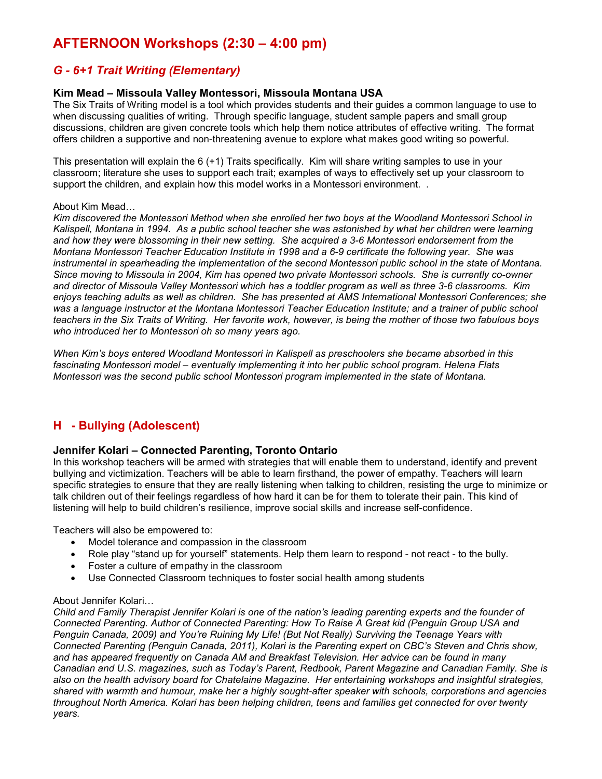## **AFTERNOON Workshops (2:30 – 4:00 pm)**

## *G - 6+1 Trait Writing (Elementary)*

### **Kim Mead – Missoula Valley Montessori, Missoula Montana USA**

The Six Traits of Writing model is a tool which provides students and their guides a common language to use to when discussing qualities of writing. Through specific language, student sample papers and small group discussions, children are given concrete tools which help them notice attributes of effective writing. The format offers children a supportive and non-threatening avenue to explore what makes good writing so powerful.

This presentation will explain the 6 (+1) Traits specifically. Kim will share writing samples to use in your classroom; literature she uses to support each trait; examples of ways to effectively set up your classroom to support the children, and explain how this model works in a Montessori environment. .

#### About Kim Mead…

*Kim discovered the Montessori Method when she enrolled her two boys at the Woodland Montessori School in Kalispell, Montana in 1994. As a public school teacher she was astonished by what her children were learning and how they were blossoming in their new setting. She acquired a 3-6 Montessori endorsement from the Montana Montessori Teacher Education Institute in 1998 and a 6-9 certificate the following year. She was instrumental in spearheading the implementation of the second Montessori public school in the state of Montana. Since moving to Missoula in 2004, Kim has opened two private Montessori schools. She is currently co-owner and director of Missoula Valley Montessori which has a toddler program as well as three 3-6 classrooms. Kim enjoys teaching adults as well as children. She has presented at AMS International Montessori Conferences; she was a language instructor at the Montana Montessori Teacher Education Institute; and a trainer of public school teachers in the Six Traits of Writing. Her favorite work, however, is being the mother of those two fabulous boys who introduced her to Montessori oh so many years ago.*

*When Kim's boys entered Woodland Montessori in Kalispell as preschoolers she became absorbed in this fascinating Montessori model – eventually implementing it into her public school program. Helena Flats Montessori was the second public school Montessori program implemented in the state of Montana.*

## **H - Bullying (Adolescent)**

#### **Jennifer Kolari – Connected Parenting, Toronto Ontario**

In this workshop teachers will be armed with strategies that will enable them to understand, identify and prevent bullying and victimization. Teachers will be able to learn firsthand, the power of empathy. Teachers will learn specific strategies to ensure that they are really listening when talking to children, resisting the urge to minimize or talk children out of their feelings regardless of how hard it can be for them to tolerate their pain. This kind of listening will help to build children's resilience, improve social skills and increase self-confidence.

Teachers will also be empowered to:

- Model tolerance and compassion in the classroom
- Role play "stand up for yourself" statements. Help them learn to respond not react to the bully.
- Foster a culture of empathy in the classroom
- Use Connected Classroom techniques to foster social health among students

#### About Jennifer Kolari…

*Child and Family Therapist Jennifer Kolari is one of the nation's leading parenting experts and the founder of Connected Parenting. Author of Connected Parenting: How To Raise A Great kid (Penguin Group USA and Penguin Canada, 2009) and You're Ruining My Life! (But Not Really) Surviving the Teenage Years with Connected Parenting (Penguin Canada, 2011), Kolari is the Parenting expert on CBC's Steven and Chris show, and has appeared frequently on Canada AM and Breakfast Television. Her advice can be found in many Canadian and U.S. magazines, such as Today's Parent, Redbook, Parent Magazine and Canadian Family. She is also on the health advisory board for Chatelaine Magazine. Her entertaining workshops and insightful strategies, shared with warmth and humour, make her a highly sought-after speaker with schools, corporations and agencies throughout North America. Kolari has been helping children, teens and families get connected for over twenty years.*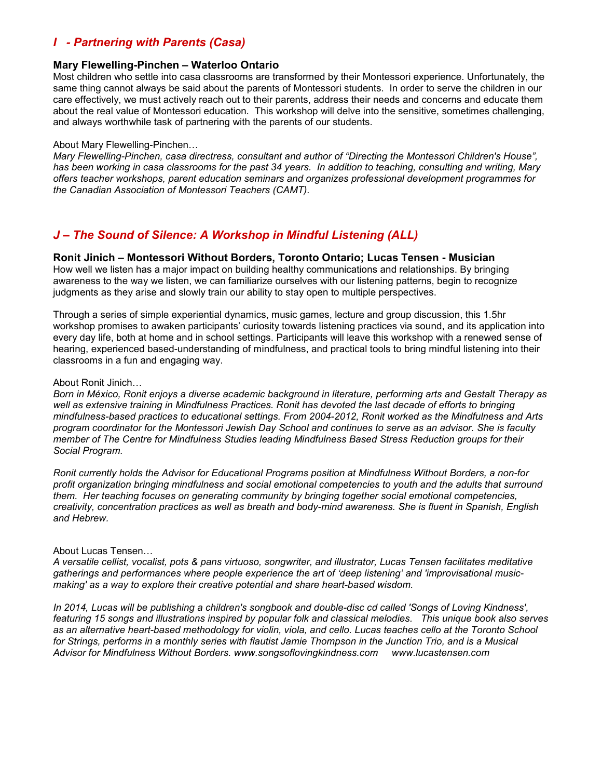## *I - Partnering with Parents (Casa)*

#### **Mary Flewelling-Pinchen – Waterloo Ontario**

Most children who settle into casa classrooms are transformed by their Montessori experience. Unfortunately, the same thing cannot always be said about the parents of Montessori students. In order to serve the children in our care effectively, we must actively reach out to their parents, address their needs and concerns and educate them about the real value of Montessori education. This workshop will delve into the sensitive, sometimes challenging, and always worthwhile task of partnering with the parents of our students.

#### About Mary Flewelling-Pinchen…

*Mary Flewelling-Pinchen, casa directress, consultant and author of "Directing the Montessori Children's House", has been working in casa classrooms for the past 34 years. In addition to teaching, consulting and writing, Mary offers teacher workshops, parent education seminars and organizes professional development programmes for the Canadian Association of Montessori Teachers (CAMT).*

## *J – The Sound of Silence: A Workshop in Mindful Listening (ALL)*

#### **Ronit Jinich – Montessori Without Borders, Toronto Ontario; Lucas Tensen - Musician**

How well we listen has a major impact on building healthy communications and relationships. By bringing awareness to the way we listen, we can familiarize ourselves with our listening patterns, begin to recognize judgments as they arise and slowly train our ability to stay open to multiple perspectives.

Through a series of simple experiential dynamics, music games, lecture and group discussion, this 1.5hr workshop promises to awaken participants' curiosity towards listening practices via sound, and its application into every day life, both at home and in school settings. Participants will leave this workshop with a renewed sense of hearing, experienced based-understanding of mindfulness, and practical tools to bring mindful listening into their classrooms in a fun and engaging way.

#### About Ronit Jinich…

*Born in México, Ronit enjoys a diverse academic background in literature, performing arts and Gestalt Therapy as well as extensive training in Mindfulness Practices. Ronit has devoted the last decade of efforts to bringing mindfulness-based practices to educational settings. From 2004-2012, Ronit worked as the Mindfulness and Arts program coordinator for the Montessori Jewish Day School and continues to serve as an advisor. She is faculty member of The Centre for Mindfulness Studies leading Mindfulness Based Stress Reduction groups for their Social Program.*

*Ronit currently holds the Advisor for Educational Programs position at Mindfulness Without Borders, a non-for profit organization bringing mindfulness and social emotional competencies to youth and the adults that surround them. Her teaching focuses on generating community by bringing together social emotional competencies, creativity, concentration practices as well as breath and body-mind awareness. She is fluent in Spanish, English and Hebrew.*

#### About Lucas Tensen…

*A versatile cellist, vocalist, pots & pans virtuoso, songwriter, and illustrator, Lucas Tensen facilitates meditative gatherings and performances where people experience the art of 'deep listening' and 'improvisational musicmaking' as a way to explore their creative potential and share heart-based wisdom.*

*In 2014, Lucas will be publishing a children's songbook and double-disc cd called 'Songs of Loving Kindness', featuring 15 songs and illustrations inspired by popular folk and classical melodies. This unique book also serves as an alternative heart-based methodology for violin, viola, and cello. Lucas teaches cello at the Toronto School for Strings, performs in a monthly series with flautist Jamie Thompson in the Junction Trio, and is a Musical Advisor for Mindfulness Without Borders. www.songsoflovingkindness.com www.lucastensen.com*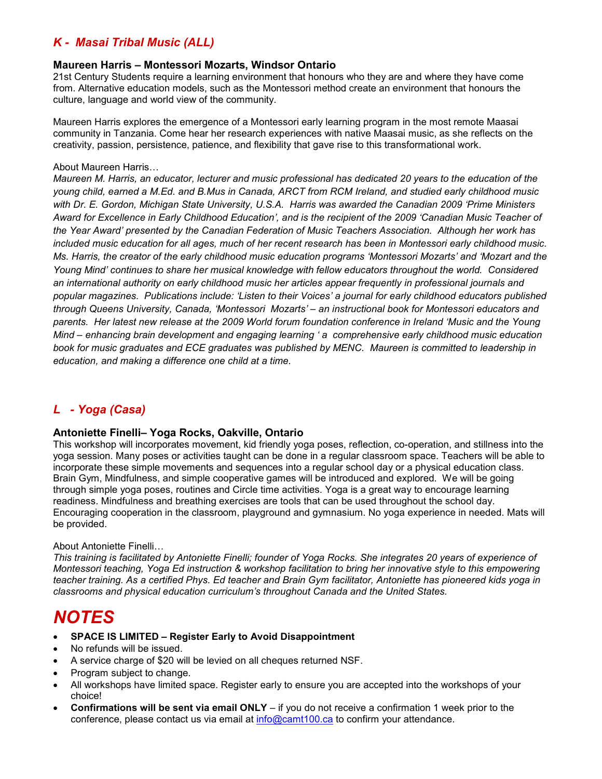## *K - Masai Tribal Music (ALL)*

### **Maureen Harris – Montessori Mozarts, Windsor Ontario**

21st Century Students require a learning environment that honours who they are and where they have come from. Alternative education models, such as the Montessori method create an environment that honours the culture, language and world view of the community.

Maureen Harris explores the emergence of a Montessori early learning program in the most remote Maasai community in Tanzania. Come hear her research experiences with native Maasai music, as she reflects on the creativity, passion, persistence, patience, and flexibility that gave rise to this transformational work.

#### About Maureen Harris…

*Maureen M. Harris, an educator, lecturer and music professional has dedicated 20 years to the education of the young child, earned a M.Ed. and B.Mus in Canada, ARCT from RCM Ireland, and studied early childhood music with Dr. E. Gordon, Michigan State University, U.S.A. Harris was awarded the Canadian 2009 'Prime Ministers Award for Excellence in Early Childhood Education', and is the recipient of the 2009 'Canadian Music Teacher of the Year Award' presented by the Canadian Federation of Music Teachers Association. Although her work has included music education for all ages, much of her recent research has been in Montessori early childhood music. Ms. Harris, the creator of the early childhood music education programs 'Montessori Mozarts' and 'Mozart and the Young Mind' continues to share her musical knowledge with fellow educators throughout the world. Considered an international authority on early childhood music her articles appear frequently in professional journals and popular magazines. Publications include: 'Listen to their Voices' a journal for early childhood educators published through Queens University, Canada, 'Montessori Mozarts' – an instructional book for Montessori educators and parents. Her latest new release at the 2009 World forum foundation conference in Ireland 'Music and the Young Mind – enhancing brain development and engaging learning ' a comprehensive early childhood music education book for music graduates and ECE graduates was published by MENC. Maureen is committed to leadership in education, and making a difference one child at a time.*

## *L - Yoga (Casa)*

#### **Antoniette Finelli– Yoga Rocks, Oakville, Ontario**

This workshop will incorporates movement, kid friendly yoga poses, reflection, co-operation, and stillness into the yoga session. Many poses or activities taught can be done in a regular classroom space. Teachers will be able to incorporate these simple movements and sequences into a regular school day or a physical education class. Brain Gym, Mindfulness, and simple cooperative games will be introduced and explored. We will be going through simple yoga poses, routines and Circle time activities. Yoga is a great way to encourage learning readiness. Mindfulness and breathing exercises are tools that can be used throughout the school day. Encouraging cooperation in the classroom, playground and gymnasium. No yoga experience in needed. Mats will be provided.

#### About Antoniette Finelli…

*This training is facilitated by Antoniette Finelli; founder of Yoga Rocks. She integrates 20 years of experience of Montessori teaching, Yoga Ed instruction & workshop facilitation to bring her innovative style to this empowering teacher training. As a certified Phys. Ed teacher and Brain Gym facilitator, Antoniette has pioneered kids yoga in classrooms and physical education curriculum's throughout Canada and the United States.*

## *NOTES*

- **SPACE IS LIMITED Register Early to Avoid Disappointment**
- No refunds will be issued.
- A service charge of \$20 will be levied on all cheques returned NSF.
- Program subject to change.
- All workshops have limited space. Register early to ensure you are accepted into the workshops of your choice!
- **Confirmations will be sent via email ONLY** if you do not receive a confirmation 1 week prior to the conference, please contact us via email at info@camt100.ca to confirm your attendance.